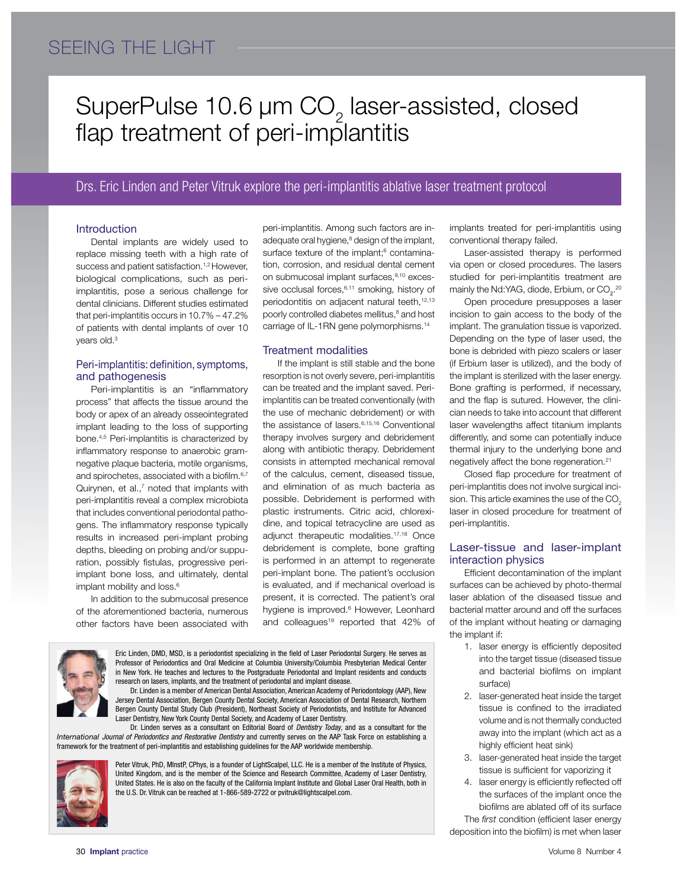# SEEING THE LIGHT

# SuperPulse  $10.6 \mu m$  CO<sub>2</sub> laser-assisted, closed flap treatment of peri-implantitis

### Drs. Eric Linden and Peter Vitruk explore the peri-implantitis ablative laser treatment protocol

#### Introduction

Dental implants are widely used to replace missing teeth with a high rate of success and patient satisfaction.<sup>1,2</sup> However, biological complications, such as periimplantitis, pose a serious challenge for dental clinicians. Different studies estimated that peri-implantitis occurs in 10.7% – 47.2% of patients with dental implants of over 10 years old.<sup>3</sup>

### Peri-implantitis: definition, symptoms, and pathogenesis

Peri-implantitis is an "inflammatory process" that affects the tissue around the body or apex of an already osseointegrated implant leading to the loss of supporting bone.4,5 Peri-implantitis is characterized by inflammatory response to anaerobic gramnegative plaque bacteria, motile organisms, and spirochetes, associated with a biofilm.<sup>6,7</sup> Quirynen, et al.,<sup>7</sup> noted that implants with peri-implantitis reveal a complex microbiota that includes conventional periodontal pathogens. The inflammatory response typically results in increased peri-implant probing depths, bleeding on probing and/or suppuration, possibly fistulas, progressive periimplant bone loss, and ultimately, dental implant mobility and loss.<sup>6</sup>

In addition to the submucosal presence of the aforementioned bacteria, numerous other factors have been associated with

peri-implantitis. Among such factors are inadequate oral hygiene,<sup>8</sup> design of the implant, surface texture of the implant;<sup>6</sup> contamination, corrosion, and residual dental cement on submucosal implant surfaces,<sup>9,10</sup> excessive occlusal forces,<sup>6,11</sup> smoking, history of periodontitis on adjacent natural teeth,<sup>12,13</sup> poorly controlled diabetes mellitus,<sup>8</sup> and host carriage of IL-1RN gene polymorphisms.14

#### Treatment modalities

If the implant is still stable and the bone resorption is not overly severe, peri-implantitis can be treated and the implant saved. Periimplantitis can be treated conventionally (with the use of mechanic debridement) or with the assistance of lasers.<sup>6,15,16</sup> Conventional therapy involves surgery and debridement along with antibiotic therapy. Debridement consists in attempted mechanical removal of the calculus, cement, diseased tissue, and elimination of as much bacteria as possible. Debridement is performed with plastic instruments. Citric acid, chlorexidine, and topical tetracycline are used as adjunct therapeutic modalities.17,18 Once debridement is complete, bone grafting is performed in an attempt to regenerate peri-implant bone. The patient's occlusion is evaluated, and if mechanical overload is present, it is corrected. The patient's oral hygiene is improved.<sup>6</sup> However, Leonhard and colleagues<sup>19</sup> reported that 42% of



Eric Linden, DMD, MSD, is a periodontist specializing in the field of Laser Periodontal Surgery. He serves as Professor of Periodontics and Oral Medicine at Columbia University/Columbia Presbyterian Medical Center in New York. He teaches and lectures to the Postgraduate Periodontal and Implant residents and conducts research on lasers, implants, and the treatment of periodontal and implant disease. Dr. Linden is a member of American Dental Association, American Academy of Periodontology (AAP), New

Jersey Dental Association, Bergen County Dental Society, American Association of Dental Research, Northern Bergen County Dental Study Club (President), Northeast Society of Periodontists, and Institute for Advanced Laser Dentistry, New York County Dental Society, and Academy of Laser Dentistry.

Dr. Linden serves as a consultant on Editorial Board of *Dentistry Today*, and as a consultant for the *International Journal of Periodontics and Restorative Dentistry* and currently serves on the AAP Task Force on establishing a framework for the treatment of peri-implantitis and establishing guidelines for the AAP worldwide membership.



Peter Vitruk, PhD, MInstP, CPhys, is a founder of LightScalpel, LLC. He is a member of the Institute of Physics, United Kingdom, and is the member of the Science and Research Committee, Academy of Laser Dentistry, United States. He is also on the faculty of the California Implant Institute and Global Laser Oral Health, both in the U.S. Dr. Vitruk can be reached at 1-866-589-2722 or pvitruk@lightscalpel.com.

implants treated for peri-implantitis using conventional therapy failed.

Laser-assisted therapy is performed via open or closed procedures. The lasers studied for peri-implantitis treatment are mainly the Nd:YAG, diode, Erbium, or CO $_2$ .<sup>20</sup>

Open procedure presupposes a laser incision to gain access to the body of the implant. The granulation tissue is vaporized. Depending on the type of laser used, the bone is debrided with piezo scalers or laser (if Erbium laser is utilized), and the body of the implant is sterilized with the laser energy. Bone grafting is performed, if necessary, and the flap is sutured. However, the clinician needs to take into account that different laser wavelengths affect titanium implants differently, and some can potentially induce thermal injury to the underlying bone and negatively affect the bone regeneration.21

Closed flap procedure for treatment of peri-implantitis does not involve surgical incision. This article examines the use of the CO<sub>2</sub> laser in closed procedure for treatment of peri-implantitis.

#### Laser-tissue and laser-implant interaction physics

Efficient decontamination of the implant surfaces can be achieved by photo-thermal laser ablation of the diseased tissue and bacterial matter around and off the surfaces of the implant without heating or damaging the implant if:

- 1. laser energy is efficiently deposited into the target tissue (diseased tissue and bacterial biofilms on implant surface)
- 2. laser-generated heat inside the target tissue is confined to the irradiated volume and is not thermally conducted away into the implant (which act as a highly efficient heat sink)
- 3. laser-generated heat inside the target tissue is sufficient for vaporizing it
- 4. laser energy is efficiently reflected off the surfaces of the implant once the biofilms are ablated off of its surface

The *first* condition (efficient laser energy deposition into the biofilm) is met when laser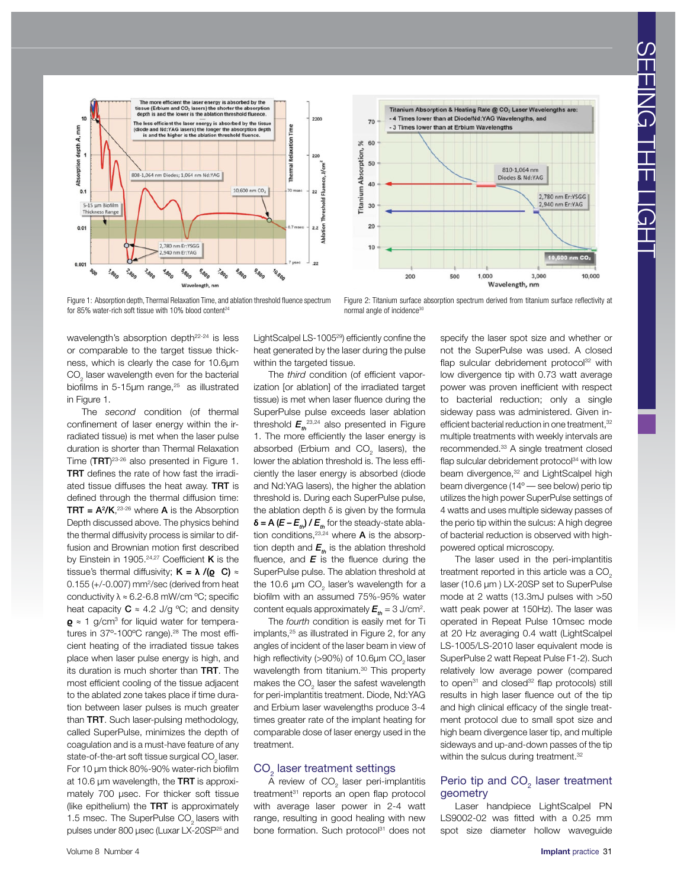

Figure 1: Absorption depth, Thermal Relaxation Time, and ablation threshold fluence spectrum for 85% water-rich soft tissue with 10% blood content<sup>24</sup>



Figure 2: Titanium surface absorption spectrum derived from titanium surface reflectivity at normal angle of incidence<sup>30</sup>

wavelength's absorption depth<sup>22-24</sup> is less or comparable to the target tissue thickness, which is clearly the case for 10.6µm  $\mathrm{CO}_2^{\phantom{\dag}}$  laser wavelength even for the bacterial biofilms in 5-15 $\mu$ m range,<sup>25</sup> as illustrated in Figure 1.

The *second* condition (of thermal confinement of laser energy within the irradiated tissue) is met when the laser pulse duration is shorter than Thermal Relaxation Time  $(TRT)^{23\cdot 26}$  also presented in Figure 1. TRT defines the rate of how fast the irradiated tissue diffuses the heat away. TRT is defined through the thermal diffusion time: **TRT =**  $A^2/K$ ,  $23-26$  where **A** is the Absorption Depth discussed above. The physics behind the thermal diffusivity process is similar to diffusion and Brownian motion first described by Einstein in 1905.<sup>24,27</sup> Coefficient  $K$  is the tissue's thermal diffusivity; K = **λ** /(**ϱ** C) ≈ 0.155 (+/-0.007) mm2 /sec (derived from heat conductivity  $\lambda \approx 6.2$ -6.8 mW/cm °C; specific heat capacity  $C \approx 4.2$  J/g °C; and density  $Q$  ≈ 1 g/cm<sup>3</sup> for liquid water for temperatures in 37°-100°C range).<sup>28</sup> The most efficient heating of the irradiated tissue takes place when laser pulse energy is high, and its duration is much shorter than TRT. The most efficient cooling of the tissue adjacent to the ablated zone takes place if time duration between laser pulses is much greater than TRT. Such laser-pulsing methodology, called SuperPulse, minimizes the depth of coagulation and is a must-have feature of any state-of-the-art soft tissue surgical CO<sub>2</sub> laser. For 10 µm thick 80%-90% water-rich biofilm at 10.6  $\mu$ m wavelength, the TRT is approximately 700 µsec. For thicker soft tissue (like epithelium) the TRT is approximately 1.5 msec. The SuperPulse CO<sub>2</sub> lasers with pulses under 800 µsec (Luxar LX-20SP25 and

LightScalpel LS-100529) efficiently confine the heat generated by the laser during the pulse within the targeted tissue.

The *third* condition (of efficient vaporization [or ablation] of the irradiated target tissue) is met when laser fluence during the SuperPulse pulse exceeds laser ablation threshold  $E_{th}^{\,\,\,\,\,\,23,24}$  also presented in Figure 1. The more efficiently the laser energy is absorbed (Erbium and  $CO<sub>2</sub>$  lasers), the lower the ablation threshold is. The less efficiently the laser energy is absorbed (diode and Nd:YAG lasers), the higher the ablation threshold is. During each SuperPulse pulse, the ablation depth  $δ$  is given by the formula  $\delta$  = A ( $E - E_{th}$ ) /  $E_{th}$  for the steady-state ablation conditions,  $23,24$  where **A** is the absorption depth and  $E_{\mu}$  is the ablation threshold fluence, and *E* is the fluence during the SuperPulse pulse. The ablation threshold at the 10.6  $\mu$ m CO<sub>2</sub> laser's wavelength for a biofilm with an assumed 75%-95% water content equals approximately  $\bm{E}_{\bm{\mathit{th}}}$  = 3 J/cm $^2$ .

The *fourth* condition is easily met for Ti implants,<sup>25</sup> as illustrated in Figure 2, for any angles of incident of the laser beam in view of high reflectivity (>90%) of 10.6 $\mu$ m CO<sub>2</sub> laser wavelength from titanium.<sup>30</sup> This property makes the CO<sub>2</sub> laser the safest wavelength for peri-implantitis treatment. Diode, Nd:YAG and Erbium laser wavelengths produce 3-4 times greater rate of the implant heating for comparable dose of laser energy used in the treatment.

### CO $_{\tiny 2}$  laser treatment settings

A review of  $\mathrm{CO}_2^+$  laser peri-implantitis treatment<sup>31</sup> reports an open flap protocol with average laser power in 2-4 watt range, resulting in good healing with new bone formation. Such protocol<sup>31</sup> does not

specify the laser spot size and whether or not the SuperPulse was used. A closed flap sulcular debridement protocol<sup>32</sup> with low divergence tip with 0.73 watt average power was proven inefficient with respect to bacterial reduction; only a single sideway pass was administered. Given inefficient bacterial reduction in one treatment.<sup>32</sup> multiple treatments with weekly intervals are recommended.33 A single treatment closed flap sulcular debridement protocol $34$  with low beam divergence,<sup>32</sup> and LightScalpel high beam divergence (14º — see below) perio tip utilizes the high power SuperPulse settings of 4 watts and uses multiple sideway passes of the perio tip within the sulcus: A high degree of bacterial reduction is observed with highpowered optical microscopy.

The laser used in the peri-implantitis treatment reported in this article was a CO<sub>2</sub> laser (10.6 µm ) LX-20SP set to SuperPulse mode at 2 watts (13.3mJ pulses with >50 watt peak power at 150Hz). The laser was operated in Repeat Pulse 10msec mode at 20 Hz averaging 0.4 watt (LightScalpel LS-1005/LS-2010 laser equivalent mode is SuperPulse 2 watt Repeat Pulse F1-2). Such relatively low average power (compared to open<sup>31</sup> and closed<sup>32</sup> flap protocols) still results in high laser fluence out of the tip and high clinical efficacy of the single treatment protocol due to small spot size and high beam divergence laser tip, and multiple sideways and up-and-down passes of the tip within the sulcus during treatment.<sup>32</sup>

#### Perio tip and  $CO<sub>2</sub>$  laser treatment geometry

Laser handpiece LightScalpel PN LS9002-02 was fitted with a 0.25 mm spot size diameter hollow waveguide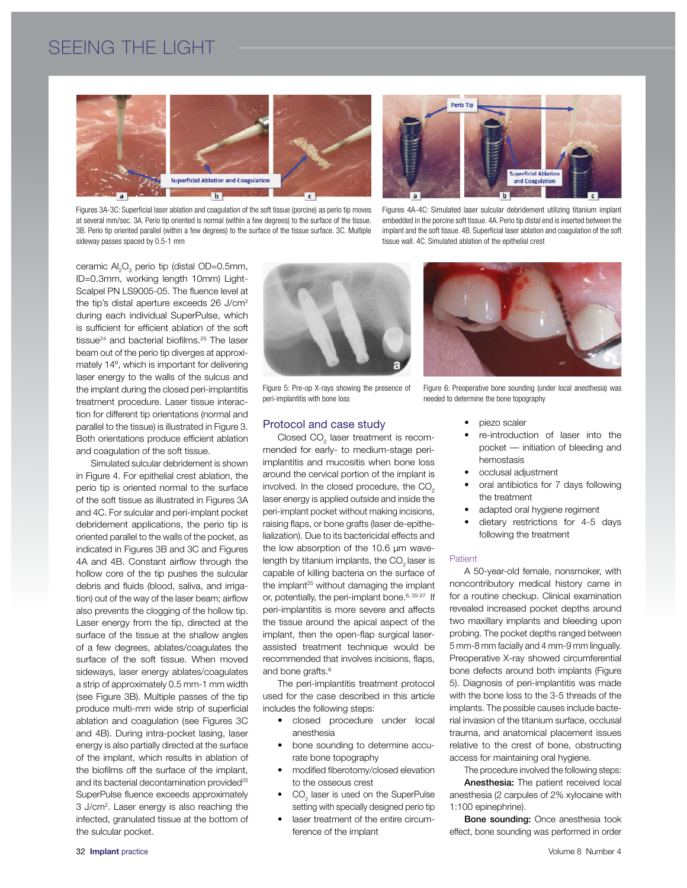# SEEING THE LIGHT



Figures 3A-3C: Superficial laser ablation and coagulation of the soft tissue (porcine) as perio tip moves at several mm/sec. 3A. Perio tip oriented is normal (within a few degrees) to the surface of the tissue. 3B. Perio tip oriented parallel (within a few degrees) to the surface of the tissue surface. 3C. Multiple sideway passes spaced by 0.5-1 mm



Figures 4A-4C: Simulated laser sulcular debridement utilizing titanium implant embedded in the porcine soft tissue. 4A. Perio tip distal end is inserted between the implant and the soft tissue. 4B. Superficial laser ablation and coagulation of the soft tissue wall. 4C. Simulated ablation of the epithelial crest

ceramic  $\mathsf{Al}_2\mathsf{O}_3$  perio tip (distal OD=0.5mm, ID=0.3mm, working length 10mm) Light-Scalpel PN LS9005-05. The fluence level at the tip's distal aperture exceeds 26 J/cm<sup>2</sup> during each individual SuperPulse, which is sufficient for efficient ablation of the soft tissue<sup>24</sup> and bacterial biofilms.<sup>25</sup> The laser beam out of the perio tip diverges at approximately 14º, which is important for delivering laser energy to the walls of the sulcus and the implant during the closed peri-implantitis treatment procedure. Laser tissue interaction for different tip orientations (normal and parallel to the tissue) is illustrated in Figure 3. Both orientations produce efficient ablation and coagulation of the soft tissue.

Simulated sulcular debridement is shown in Figure 4. For epithelial crest ablation, the perio tip is oriented normal to the surface of the soft tissue as illustrated in Figures 3A and 4C. For sulcular and peri-implant pocket debridement applications, the perio tip is oriented parallel to the walls of the pocket, as indicated in Figures 3B and 3C and Figures 4A and 4B. Constant airflow through the hollow core of the tip pushes the sulcular debris and fluids (blood, saliva, and irrigation) out of the way of the laser beam; airflow also prevents the clogging of the hollow tip. Laser energy from the tip, directed at the surface of the tissue at the shallow angles of a few degrees, ablates/coagulates the surface of the soft tissue. When moved sideways, laser energy ablates/coagulates a strip of approximately 0.5 mm-1 mm width (see Figure 3B). Multiple passes of the tip produce multi-mm wide strip of superficial ablation and coagulation (see Figures 3C and 4B). During intra-pocket lasing, laser energy is also partially directed at the surface of the implant, which results in ablation of the biofilms off the surface of the implant, and its bacterial decontamination provided<sup>25</sup> SuperPulse fluence exceeds approximately 3 J/cm2 . Laser energy is also reaching the infected, granulated tissue at the bottom of the sulcular pocket.



Figure 5: Pre-op X-rays showing the presence of peri-implantitis with bone loss

#### Protocol and case study

Closed  $\mathrm{CO}_2$  laser treatment is recommended for early- to medium-stage periimplantitis and mucositis when bone loss around the cervical portion of the implant is involved. In the closed procedure, the CO<sub>2</sub> laser energy is applied outside and inside the peri-implant pocket without making incisions, raising flaps, or bone grafts (laser de-epithelialization). Due to its bactericidal effects and the low absorption of the 10.6 µm wavelength by titanium implants, the  $CO<sub>2</sub>$  laser is capable of killing bacteria on the surface of the implant<sup>25</sup> without damaging the implant or, potentially, the peri-implant bone.<sup>6, 35-37</sup> If peri-implantitis is more severe and affects the tissue around the apical aspect of the implant, then the open-flap surgical laserassisted treatment technique would be recommended that involves incisions, flaps, and bone grafts.<sup>6</sup>

The peri-implantitis treatment protocol used for the case described in this article includes the following steps:

- closed procedure under local anesthesia
- bone sounding to determine accurate bone topography
- modified fiberotomy/closed elevation to the osseous crest
- $\bullet$   $CO<sub>2</sub>$  laser is used on the SuperPulse setting with specially designed perio tip
- laser treatment of the entire circumference of the implant



Figure 6: Preoperative bone sounding (under local anesthesia) was needed to determine the bone topography

- piezo scaler
- re-introduction of laser into the pocket — initiation of bleeding and hemostasis
- occlusal adjustment
- oral antibiotics for 7 days following the treatment
- adapted oral hygiene regiment
- dietary restrictions for 4-5 days following the treatment

#### **Patient**

A 50-year-old female, nonsmoker, with noncontributory medical history came in for a routine checkup. Clinical examination revealed increased pocket depths around two maxillary implants and bleeding upon probing. The pocket depths ranged between 5 mm-8 mm facially and 4 mm-9 mm lingually. Preoperative X-ray showed circumferential bone defects around both implants (Figure 5). Diagnosis of peri-implantitis was made with the bone loss to the 3-5 threads of the implants. The possible causes include bacterial invasion of the titanium surface, occlusal trauma, and anatomical placement issues relative to the crest of bone, obstructing access for maintaining oral hygiene.

The procedure involved the following steps:

Anesthesia: The patient received local anesthesia (2 carpules of 2% xylocaine with 1:100 epinephrine).

Bone sounding: Once anesthesia took effect, bone sounding was performed in order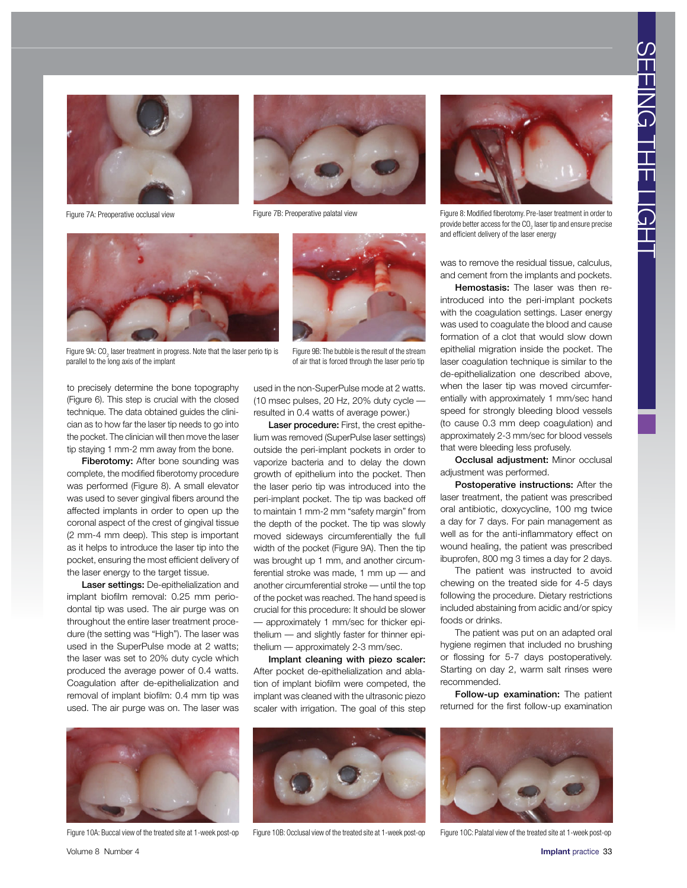

Figure 7A: Preoperative occlusal view







to precisely determine the bone topography (Figure 6). This step is crucial with the closed technique. The data obtained guides the clinician as to how far the laser tip needs to go into the pocket. The clinician will then move the laser tip staying 1 mm-2 mm away from the bone. Fiberotomy: After bone sounding was complete, the modified fiberotomy procedure was performed (Figure 8). A small elevator was used to sever gingival fibers around the affected implants in order to open up the coronal aspect of the crest of gingival tissue (2 mm-4 mm deep). This step is important as it helps to introduce the laser tip into the pocket, ensuring the most efficient delivery of the laser energy to the target tissue.



Figure 9B: The bubble is the result of the stream of air that is forced through the laser perio tip

Laser procedure: First, the crest epithelium was removed (SuperPulse laser settings) outside the peri-implant pockets in order to vaporize bacteria and to delay the down growth of epithelium into the pocket. Then the laser perio tip was introduced into the peri-implant pocket. The tip was backed off to maintain 1 mm-2 mm "safety margin" from the depth of the pocket. The tip was slowly moved sideways circumferentially the full width of the pocket (Figure 9A). Then the tip was brought up 1 mm, and another circumferential stroke was made, 1 mm up — and another circumferential stroke — until the top of the pocket was reached. The hand speed is crucial for this procedure: It should be slower — approximately 1 mm/sec for thicker epithelium — and slightly faster for thinner epithelium — approximately 2-3 mm/sec.

Implant cleaning with piezo scaler: After pocket de-epithelialization and ablation of implant biofilm were competed, the implant was cleaned with the ultrasonic piezo scaler with irrigation. The goal of this step



Figure 7B: Preoperative palatal view Figure 8: Modified fiberotomy. Pre-laser treatment in order to provide better access for the CO<sub>2</sub> laser tip and ensure precise and efficient delivery of the laser energy

was to remove the residual tissue, calculus, and cement from the implants and pockets.

Hemostasis: The laser was then reintroduced into the peri-implant pockets with the coagulation settings. Laser energy was used to coagulate the blood and cause formation of a clot that would slow down epithelial migration inside the pocket. The laser coagulation technique is similar to the de-epithelialization one described above, when the laser tip was moved circumferentially with approximately 1 mm/sec hand speed for strongly bleeding blood vessels (to cause 0.3 mm deep coagulation) and approximately 2-3 mm/sec for blood vessels that were bleeding less profusely.

Occlusal adjustment: Minor occlusal adjustment was performed.

Postoperative instructions: After the laser treatment, the patient was prescribed oral antibiotic, doxycycline, 100 mg twice a day for 7 days. For pain management as well as for the anti-inflammatory effect on wound healing, the patient was prescribed ibuprofen, 800 mg 3 times a day for 2 days.

The patient was instructed to avoid chewing on the treated side for 4-5 days following the procedure. Dietary restrictions included abstaining from acidic and/or spicy foods or drinks.

The patient was put on an adapted oral hygiene regimen that included no brushing or flossing for 5-7 days postoperatively. Starting on day 2, warm salt rinses were recommended.

Follow-up examination: The patient returned for the first follow-up examination



Laser settings: De-epithelialization and implant biofilm removal: 0.25 mm periodontal tip was used. The air purge was on throughout the entire laser treatment procedure (the setting was "High"). The laser was used in the SuperPulse mode at 2 watts; the laser was set to 20% duty cycle which produced the average power of 0.4 watts. Coagulation after de-epithelialization and removal of implant biofilm: 0.4 mm tip was used. The air purge was on. The laser was

Figure 10A: Buccal view of the treated site at 1-week post-op Figure 10B: Occlusal view of the treated site at 1-week post-op Figure 10C: Palatal view of the treated site at 1-week post-op